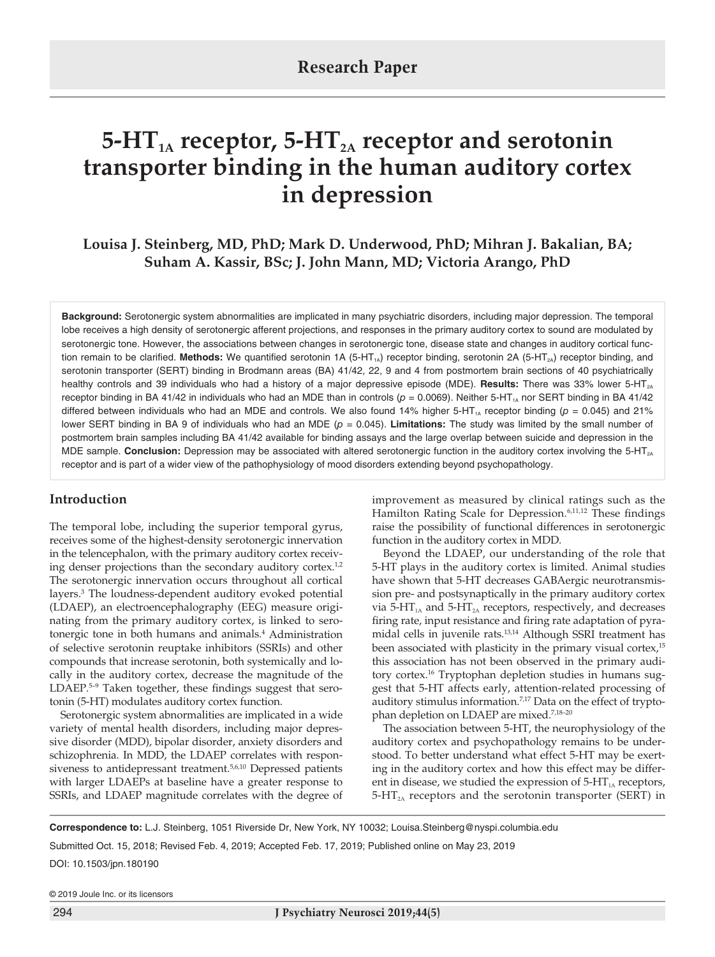# 5-HT<sub>1A</sub> receptor, 5-HT<sub>2A</sub> receptor and serotonin **transporter binding in the human auditory cortex in depression**

**Louisa J. Steinberg, MD, PhD; Mark D. Underwood, PhD; Mihran J. Bakalian, BA; Suham A. Kassir, BSc; J. John Mann, MD; Victoria Arango, PhD**

**Background:** Serotonergic system abnormalities are implicated in many psychiatric disorders, including major depression. The temporal lobe receives a high density of serotonergic afferent projections, and responses in the primary auditory cortex to sound are modulated by serotonergic tone. However, the associations between changes in serotonergic tone, disease state and changes in auditory cortical function remain to be clarified. Methods: We quantified serotonin 1A (5-HT<sub>14</sub>) receptor binding, serotonin 2A (5-HT<sub>24</sub>) receptor binding, and serotonin transporter (SERT) binding in Brodmann areas (BA) 41/42, 22, 9 and 4 from postmortem brain sections of 40 psychiatrically healthy controls and 39 individuals who had a history of a major depressive episode (MDE). **Results:** There was 33% lower 5-HT<sub>2A</sub> receptor binding in BA 41/42 in individuals who had an MDE than in controls ( $p = 0.0069$ ). Neither 5-HT<sub>1A</sub> nor SERT binding in BA 41/42 differed between individuals who had an MDE and controls. We also found 14% higher 5-HT<sub>1A</sub> receptor binding ( $p = 0.045$ ) and 21% lower SERT binding in BA 9 of individuals who had an MDE (*p* = 0.045). **Limitations:** The study was limited by the small number of postmortem brain samples including BA 41/42 available for binding assays and the large overlap between suicide and depression in the MDE sample. **Conclusion:** Depression may be associated with altered serotonergic function in the auditory cortex involving the 5-HT<sub>2A</sub> receptor and is part of a wider view of the pathophysiology of mood disorders extending beyond psychopathology.

# **Introduction**

The temporal lobe, including the superior temporal gyrus, receives some of the highest-density serotonergic innervation in the telencephalon, with the primary auditory cortex receiving denser projections than the secondary auditory cortex.<sup>1,2</sup> The serotonergic innervation occurs throughout all cortical layers.3 The loudness-dependent auditory evoked potential (LDAEP), an electroencephalography (EEG) measure originating from the primary auditory cortex, is linked to serotonergic tone in both humans and animals.<sup>4</sup> Administration of selective serotonin reuptake inhibitors (SSRIs) and other compounds that increase serotonin, both systemically and locally in the auditory cortex, decrease the magnitude of the LDAEP.<sup>5–9</sup> Taken together, these findings suggest that serotonin (5-HT) modulates auditory cortex function.

Serotonergic system abnormalities are implicated in a wide variety of mental health disorders, including major depressive disorder (MDD), bipolar disorder, anxiety disorders and schizophrenia. In MDD, the LDAEP correlates with responsiveness to antidepressant treatment.<sup>5,6,10</sup> Depressed patients with larger LDAEPs at baseline have a greater response to SSRIs, and LDAEP magnitude correlates with the degree of improvement as measured by clinical ratings such as the Hamilton Rating Scale for Depression.<sup>6,11,12</sup> These findings raise the possibility of functional differences in serotonergic function in the auditory cortex in MDD.

Beyond the LDAEP, our understanding of the role that 5-HT plays in the auditory cortex is limited. Animal studies have shown that 5-HT decreases GABAergic neurotransmission pre- and postsynaptically in the primary auditory cortex via 5-HT<sub>1A</sub> and 5-HT<sub>2A</sub> receptors, respectively, and decreases firing rate, input resistance and firing rate adaptation of pyramidal cells in juvenile rats.13,14 Although SSRI treatment has been associated with plasticity in the primary visual cortex,<sup>15</sup> this association has not been observed in the primary auditory cortex.16 Tryptophan depletion studies in humans suggest that 5-HT affects early, attention-related processing of auditory stimulus information.7,17 Data on the effect of tryptophan depletion on LDAEP are mixed.<sup>7,18-20</sup>

The association between 5-HT, the neurophysiology of the auditory cortex and psychopathology remains to be understood. To better understand what effect 5-HT may be exerting in the auditory cortex and how this effect may be different in disease, we studied the expression of  $5-HT<sub>1A</sub>$  receptors,  $5-HT<sub>2A</sub>$  receptors and the serotonin transporter (SERT) in

**Correspondence to:** L.J. Steinberg, 1051 Riverside Dr, New York, NY 10032; Louisa.Steinberg@nyspi.columbia.edu

Submitted Oct. 15, 2018; Revised Feb. 4, 2019; Accepted Feb. 17, 2019; Published online on May 23, 2019

DOI: 10.1503/jpn.180190

© 2019 Joule Inc. or its licensors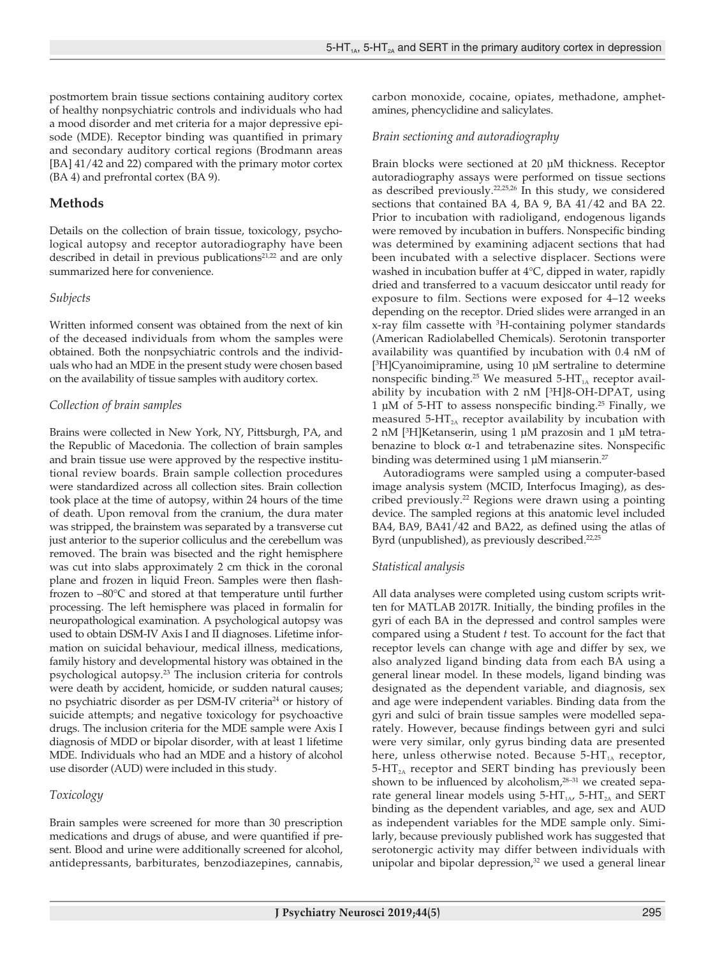postmortem brain tissue sections containing auditory cortex of healthy nonpsychiatric controls and individuals who had a mood disorder and met criteria for a major depressive episode (MDE). Receptor binding was quantified in primary and secondary auditory cortical regions (Brodmann areas [BA] 41/42 and 22) compared with the primary motor cortex (BA 4) and prefrontal cortex (BA 9).

# **Methods**

Details on the collection of brain tissue, toxicology, psychological autopsy and receptor autoradiography have been described in detail in previous publications<sup>21,22</sup> and are only summarized here for convenience.

## *Subjects*

Written informed consent was obtained from the next of kin of the deceased individuals from whom the samples were obtained. Both the nonpsychiatric controls and the individuals who had an MDE in the present study were chosen based on the availability of tissue samples with auditory cortex.

## *Collection of brain samples*

Brains were collected in New York, NY, Pittsburgh, PA, and the Republic of Macedonia. The collection of brain samples and brain tissue use were approved by the respective institutional review boards. Brain sample collection procedures were standardized across all collection sites. Brain collection took place at the time of autopsy, within 24 hours of the time of death. Upon removal from the cranium, the dura mater was stripped, the brainstem was separated by a transverse cut just anterior to the superior colliculus and the cerebellum was removed. The brain was bisected and the right hemisphere was cut into slabs approximately 2 cm thick in the coronal plane and frozen in liquid Freon. Samples were then flashfrozen to –80°C and stored at that temperature until further processing. The left hemisphere was placed in formalin for neuropathological examination. A psychological autopsy was used to obtain DSM-IV Axis I and II diagnoses. Lifetime information on suicidal behaviour, medical illness, medications, family history and developmental history was obtained in the psychological autopsy.23 The inclusion criteria for controls were death by accident, homicide, or sudden natural causes; no psychiatric disorder as per DSM-IV criteria24 or history of suicide attempts; and negative toxicology for psychoactive drugs. The inclusion criteria for the MDE sample were Axis I diagnosis of MDD or bipolar disorder, with at least 1 lifetime MDE. Individuals who had an MDE and a history of alcohol use disorder (AUD) were included in this study.

# *Toxicology*

Brain samples were screened for more than 30 prescription medications and drugs of abuse, and were quantified if present. Blood and urine were additionally screened for alcohol, antidepressants, barbiturates, benzodiazepines, cannabis, carbon monoxide, cocaine, opiates, methadone, amphetamines, phencyclidine and salicylates.

## *Brain sectioning and autoradiography*

Brain blocks were sectioned at 20 µM thickness. Receptor autoradiography assays were performed on tissue sections as described previously.22,25,26 In this study, we considered sections that contained BA 4, BA 9, BA 41/42 and BA 22. Prior to incubation with radioligand, endogenous ligands were removed by incubation in buffers. Nonspecific binding was determined by examining adjacent sections that had been incubated with a selective displacer. Sections were washed in incubation buffer at 4°C, dipped in water, rapidly dried and transferred to a vacuum desiccator until ready for exposure to film. Sections were exposed for 4–12 weeks depending on the receptor. Dried slides were arranged in an x-ray film cassette with <sup>3</sup>H-containing polymer standards (American Radiolabelled Chemicals). Serotonin transporter availability was quantified by incubation with 0.4 nM of [3 H]Cyanoimipramine, using 10 µM sertraline to determine nonspecific binding.<sup>25</sup> We measured 5-HT<sub>1A</sub> receptor availability by incubation with 2 nM [3 H]8-OH-DPAT, using 1  $\mu$ M of 5-HT to assess nonspecific binding.<sup>25</sup> Finally, we measured  $5-HT<sub>2A</sub>$  receptor availability by incubation with 2 nM [<sup>3</sup>H]Ketanserin, using 1 µM prazosin and 1 µM tetrabenazine to block α-1 and tetrabenazine sites. Nonspecific binding was determined using 1 µM mianserin.<sup>27</sup>

Autoradiograms were sampled using a computer-based image analysis system (MCID, Interfocus Imaging), as described previously.22 Regions were drawn using a pointing device. The sampled regions at this anatomic level included BA4, BA9, BA41/42 and BA22, as defined using the atlas of Byrd (unpublished), as previously described.<sup>22,25</sup>

#### *Statistical analysis*

All data analyses were completed using custom scripts written for MATLAB 2017R. Initially, the binding profiles in the gyri of each BA in the depressed and control samples were compared using a Student *t* test. To account for the fact that receptor levels can change with age and differ by sex, we also analyzed ligand binding data from each BA using a general linear model. In these models, ligand binding was designated as the dependent variable, and diagnosis, sex and age were independent variables. Binding data from the gyri and sulci of brain tissue samples were modelled separately. However, because findings between gyri and sulci were very similar, only gyrus binding data are presented here, unless otherwise noted. Because  $5-HT_{1A}$  receptor,  $5-HT<sub>2A</sub>$  receptor and SERT binding has previously been shown to be influenced by alcoholism,<sup>28-31</sup> we created separate general linear models using  $5-HT<sub>1A</sub>$ ,  $5-HT<sub>2A</sub>$  and SERT binding as the dependent variables, and age, sex and AUD as independent variables for the MDE sample only. Similarly, because previously published work has suggested that serotonergic activity may differ between individuals with unipolar and bipolar depression,<sup>32</sup> we used a general linear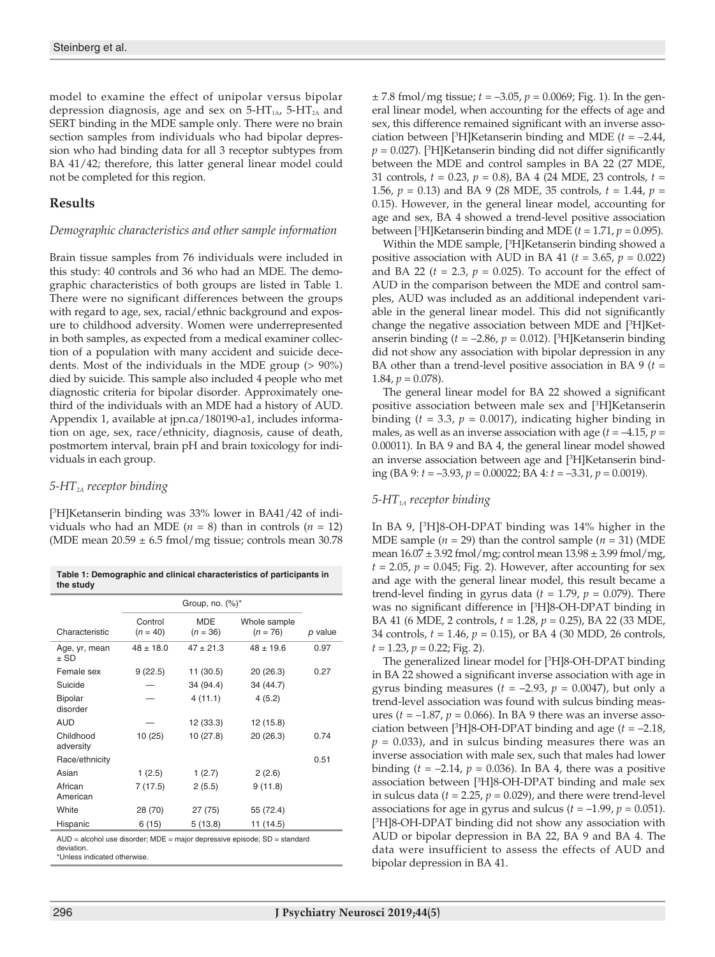model to examine the effect of unipolar versus bipolar depression diagnosis, age and sex on  $5-HT<sub>1A</sub>$ ,  $5-HT<sub>2A</sub>$  and SERT binding in the MDE sample only. There were no brain section samples from individuals who had bipolar depression who had binding data for all 3 receptor subtypes from BA 41/42; therefore, this latter general linear model could not be completed for this region.

## **Results**

#### *Demographic characteristics and other sample information*

Brain tissue samples from 76 individuals were included in this study: 40 controls and 36 who had an MDE. The demographic characteristics of both groups are listed in Table 1. There were no significant differences between the groups with regard to age, sex, racial/ethnic background and exposure to childhood adversity. Women were underrepresented in both samples, as expected from a medical examiner collection of a population with many accident and suicide decedents. Most of the individuals in the MDE group (> 90%) died by suicide. This sample also included 4 people who met diagnostic criteria for bipolar disorder. Approximately onethird of the individuals with an MDE had a history of AUD. Appendix 1, available at jpn.ca/180190-a1, includes information on age, sex, race/ethnicity, diagnosis, cause of death, postmortem interval, brain pH and brain toxicology for individuals in each group.

# 5-HT<sub>2A</sub> receptor binding

[ 3 H]Ketanserin binding was 33% lower in BA41/42 of individuals who had an MDE ( $n = 8$ ) than in controls ( $n = 12$ ) (MDE mean  $20.59 \pm 6.5$  fmol/mg tissue; controls mean 30.78

|                         | Group, no. $(\%)^*$   |                          |                            |         |
|-------------------------|-----------------------|--------------------------|----------------------------|---------|
| Characteristic          | Control<br>$(n = 40)$ | <b>MDE</b><br>$(n = 36)$ | Whole sample<br>$(n = 76)$ | p value |
| Age, yr, mean<br>$±$ SD | $48 \pm 18.0$         | $47 \pm 21.3$            | $48 \pm 19.6$              | 0.97    |
| Female sex              | 9(22.5)               | 11 (30.5)                | 20 (26.3)                  | 0.27    |
| Suicide                 |                       | 34 (94.4)                | 34 (44.7)                  |         |
| Bipolar<br>disorder     |                       | 4(11.1)                  | 4(5.2)                     |         |
| <b>AUD</b>              |                       | 12 (33.3)                | 12 (15.8)                  |         |
| Childhood<br>adversity  | 10(25)                | 10 (27.8)                | 20 (26.3)                  | 0.74    |
| Race/ethnicity          |                       |                          |                            | 0.51    |
| Asian                   | 1(2.5)                | 1(2.7)                   | 2(2.6)                     |         |
| African<br>American     | 7(17.5)               | 2(5.5)                   | 9(11.8)                    |         |
| White                   | 28 (70)               | 27(75)                   | 55 (72.4)                  |         |
| Hispanic                | 6(15)                 | 5(13.8)                  | 11 (14.5)                  |         |
|                         |                       |                          |                            |         |

AUD = alcohol use disorder; MDE = major depressive episode; SD = standard deviation

\*Unless indicated otherwise.

 $± 7.8$  fmol/mg tissue;  $t = -3.05$ ,  $p = 0.0069$ ; Fig. 1). In the general linear model, when accounting for the effects of age and sex, this difference remained significant with an inverse association between [ $3H$ ]Ketanserin binding and MDE ( $t = -2.44$ ,  $p = 0.027$ ). [<sup>3</sup>H]Ketanserin binding did not differ significantly between the MDE and control samples in BA 22 (27 MDE, 31 controls, *t* = 0.23, *p* = 0.8), BA 4 (24 MDE, 23 controls, *t* = 1.56, *p* = 0.13) and BA 9 (28 MDE, 35 controls, *t* = 1.44, *p* = 0.15). However, in the general linear model, accounting for age and sex, BA 4 showed a trend-level positive association between [3 H]Ketanserin binding and MDE (*t* = 1.71, *p* = 0.095).

Within the MDE sample, [3 H]Ketanserin binding showed a positive association with AUD in BA 41 ( $t = 3.65$ ,  $p = 0.022$ ) and BA 22 ( $t = 2.3$ ,  $p = 0.025$ ). To account for the effect of AUD in the comparison between the MDE and control samples, AUD was included as an additional independent variable in the general linear model. This did not significantly change the negative association between MDE and [3 H]Ketanserin binding  $(t = -2.86, p = 0.012)$ . [<sup>3</sup>H]Ketanserin binding did not show any association with bipolar depression in any BA other than a trend-level positive association in BA 9 (*t* = 1.84,  $p = 0.078$ ).

The general linear model for BA 22 showed a significant positive association between male sex and [3 H]Ketanserin binding  $(t = 3.3, p = 0.0017)$ , indicating higher binding in males, as well as an inverse association with age  $(t = -4.15, p =$ 0.00011). In BA 9 and BA 4, the general linear model showed an inverse association between age and [3 H]Ketanserin binding (BA 9: *t* = –3.93, *p* = 0.00022; BA 4: *t* = –3.31, *p* = 0.0019).

# 5-HT<sub>1A</sub> receptor binding

In BA 9, [3 H]8-OH-DPAT binding was 14% higher in the MDE sample  $(n = 29)$  than the control sample  $(n = 31)$  (MDE mean  $16.07 \pm 3.92$  fmol/mg; control mean  $13.98 \pm 3.99$  fmol/mg,  $t = 2.05$ ,  $p = 0.045$ ; Fig. 2). However, after accounting for sex and age with the general linear model, this result became a trend-level finding in gyrus data ( $t = 1.79$ ,  $p = 0.079$ ). There was no significant difference in [3 H]8-OH-DPAT binding in BA 41 (6 MDE, 2 controls, *t* = 1.28, *p* = 0.25), BA 22 (33 MDE, 34 controls, *t* = 1.46, *p* = 0.15), or BA 4 (30 MDD, 26 controls,  $t = 1.23$ ,  $p = 0.22$ ; Fig. 2).

The generalized linear model for [3 H]8-OH-DPAT binding in BA 22 showed a significant inverse association with age in gyrus binding measures  $(t = -2.93, p = 0.0047)$ , but only a trend-level association was found with sulcus binding measures ( $t = -1.87$ ,  $p = 0.066$ ). In BA 9 there was an inverse association between  $[3H]8$ -OH-DPAT binding and age  $(t = -2.18)$ ,  $p = 0.033$ ), and in sulcus binding measures there was an inverse association with male sex, such that males had lower binding  $(t = -2.14, p = 0.036)$ . In BA 4, there was a positive association between [3 H]8-OH-DPAT binding and male sex in sulcus data ( $t = 2.25$ ,  $p = 0.029$ ), and there were trend-level associations for age in gyrus and sulcus  $(t = -1.99, p = 0.051)$ . [<sup>3</sup>H]8-OH-DPAT binding did not show any association with AUD or bipolar depression in BA 22, BA 9 and BA 4. The data were insufficient to assess the effects of AUD and bipolar depression in BA 41.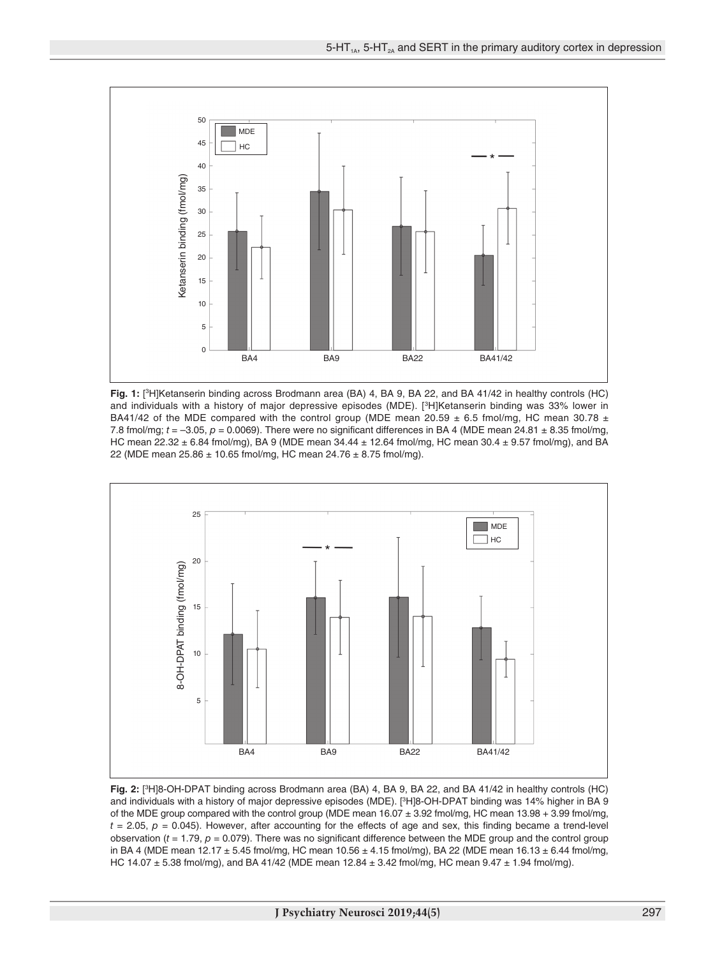

**Fig. 1:** [3H]Ketanserin binding across Brodmann area (BA) 4, BA 9, BA 22, and BA 41/42 in healthy controls (HC) and individuals with a history of major depressive episodes (MDE). [3H]Ketanserin binding was 33% lower in BA41/42 of the MDE compared with the control group (MDE mean 20.59  $\pm$  6.5 fmol/mg, HC mean 30.78  $\pm$ 7.8 fmol/mg;  $t = -3.05$ ,  $p = 0.0069$ ). There were no significant differences in BA 4 (MDE mean 24.81  $\pm$  8.35 fmol/mg, HC mean 22.32  $\pm$  6.84 fmol/mg), BA 9 (MDE mean 34.44  $\pm$  12.64 fmol/mg, HC mean 30.4  $\pm$  9.57 fmol/mg), and BA 22 (MDE mean  $25.86 \pm 10.65$  fmol/mg, HC mean  $24.76 \pm 8.75$  fmol/mg).



**Fig. 2:** [3H]8-OH-DPAT binding across Brodmann area (BA) 4, BA 9, BA 22, and BA 41/42 in healthy controls (HC) and individuals with a history of major depressive episodes (MDE). [<sup>3</sup>H]8-OH-DPAT binding was 14% higher in BA 9 of the MDE group compared with the control group (MDE mean  $16.07 \pm 3.92$  fmol/mg, HC mean  $13.98 + 3.99$  fmol/mg,  $t = 2.05$ ,  $p = 0.045$ ). However, after accounting for the effects of age and sex, this finding became a trend-level observation  $(t = 1.79, p = 0.079)$ . There was no significant difference between the MDE group and the control group in BA 4 (MDE mean 12.17  $\pm$  5.45 fmol/mg, HC mean 10.56  $\pm$  4.15 fmol/mg), BA 22 (MDE mean 16.13  $\pm$  6.44 fmol/mg, HC 14.07  $\pm$  5.38 fmol/mg), and BA 41/42 (MDE mean 12.84  $\pm$  3.42 fmol/mg, HC mean 9.47  $\pm$  1.94 fmol/mg).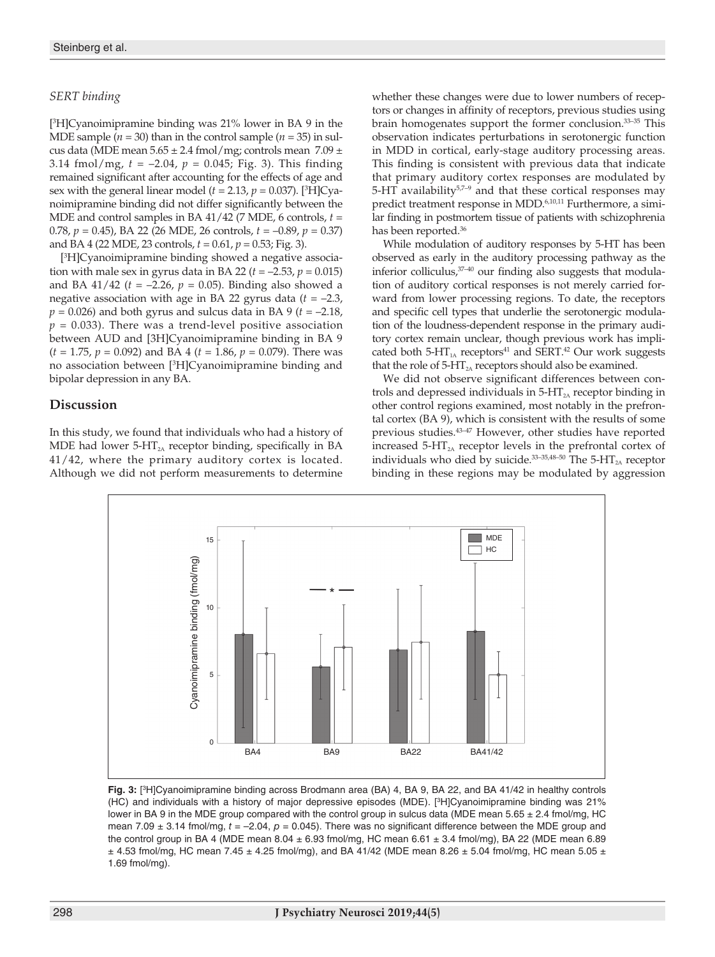#### *SERT binding*

[ 3 H]Cyanoimipramine binding was 21% lower in BA 9 in the MDE sample  $(n = 30)$  than in the control sample  $(n = 35)$  in sulcus data (MDE mean  $5.65 \pm 2.4$  fmol/mg; controls mean  $7.09 \pm$ 3.14 fmol/mg, *t* = –2.04, *p* = 0.045; Fig. 3). This finding remained significant after accounting for the effects of age and sex with the general linear model  $(t = 2.13, p = 0.037)$ . [<sup>3</sup>H]Cyanoimipramine binding did not differ significantly between the MDE and control samples in BA 41/42 (7 MDE, 6 controls, *t* = 0.78, *p* = 0.45), BA 22 (26 MDE, 26 controls, *t* = –0.89, *p* = 0.37) and BA 4 (22 MDE, 23 controls, *t* = 0.61, *p* = 0.53; Fig. 3).

[<sup>3</sup>H]Cyanoimipramine binding showed a negative association with male sex in gyrus data in BA 22  $(t = -2.53, p = 0.015)$ and BA 41/42 ( $t = -2.26$ ,  $p = 0.05$ ). Binding also showed a negative association with age in BA 22 gyrus data (*t* = –2.3,  $p = 0.026$ ) and both gyrus and sulcus data in BA 9 ( $t = -2.18$ )  $p = 0.033$ ). There was a trend-level positive association between AUD and [3H]Cyanoimipramine binding in BA 9 (*t* = 1.75, *p* = 0.092) and BA 4 (*t* = 1.86, *p* = 0.079). There was no association between [3 H]Cyanoimipramine binding and bipolar depression in any BA.

# **Discussion**

In this study, we found that individuals who had a history of MDE had lower  $5-HT<sub>2A</sub>$  receptor binding, specifically in BA 41/42, where the primary auditory cortex is located. Although we did not perform measurements to determine whether these changes were due to lower numbers of receptors or changes in affinity of receptors, previous studies using brain homogenates support the former conclusion.33–35 This observation indicates perturbations in serotonergic function in MDD in cortical, early-stage auditory processing areas. This finding is consistent with previous data that indicate that primary auditory cortex responses are modulated by 5-HT availability<sup>5,7-9</sup> and that these cortical responses may predict treatment response in MDD.<sup>6,10,11</sup> Furthermore, a similar finding in postmortem tissue of patients with schizophrenia has been reported.<sup>36</sup>

While modulation of auditory responses by 5-HT has been observed as early in the auditory processing pathway as the inferior colliculus, $37-40$  our finding also suggests that modulation of auditory cortical responses is not merely carried forward from lower processing regions. To date, the receptors and specific cell types that underlie the serotonergic modulation of the loudness-dependent response in the primary auditory cortex remain unclear, though previous work has implicated both 5-HT<sub>1A</sub> receptors<sup>41</sup> and SERT.<sup>42</sup> Our work suggests that the role of  $5-\text{HT}_{2A}$  receptors should also be examined.

We did not observe significant differences between controls and depressed individuals in  $5-HT<sub>2A</sub>$  receptor binding in other control regions examined, most notably in the prefrontal cortex (BA 9), which is consistent with the results of some previous studies.43–47 However, other studies have reported increased  $5-HT<sub>2A</sub>$  receptor levels in the prefrontal cortex of individuals who died by suicide. $33-35,48-50$  The  $5-HT_{2A}$  receptor binding in these regions may be modulated by aggression



**Fig. 3:** [3H]Cyanoimipramine binding across Brodmann area (BA) 4, BA 9, BA 22, and BA 41/42 in healthy controls (HC) and individuals with a history of major depressive episodes (MDE). [3H]Cyanoimipramine binding was 21% lower in BA 9 in the MDE group compared with the control group in sulcus data (MDE mean 5.65 ± 2.4 fmol/mg, HC mean 7.09  $\pm$  3.14 fmol/mg,  $t = -2.04$ ,  $p = 0.045$ ). There was no significant difference between the MDE group and the control group in BA 4 (MDE mean  $8.04 \pm 6.93$  fmol/mg, HC mean  $6.61 \pm 3.4$  fmol/mg), BA 22 (MDE mean 6.89  $\pm$  4.53 fmol/mg, HC mean 7.45  $\pm$  4.25 fmol/mg), and BA 41/42 (MDE mean 8.26  $\pm$  5.04 fmol/mg, HC mean 5.05  $\pm$ 1.69 fmol/mg).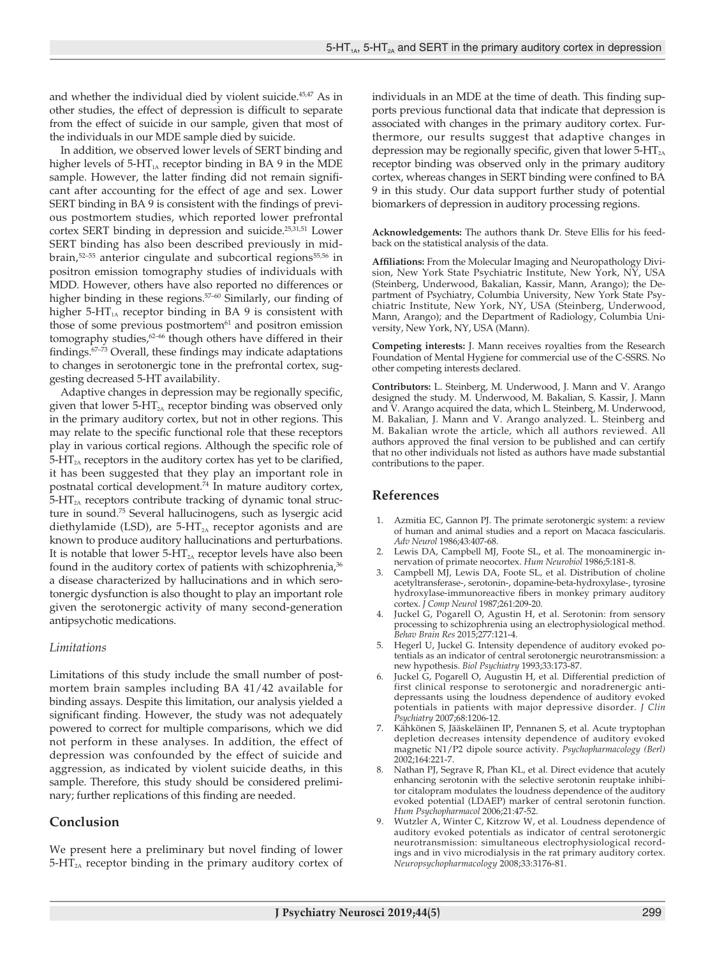and whether the individual died by violent suicide.<sup>45,47</sup> As in other studies, the effect of depression is difficult to separate from the effect of suicide in our sample, given that most of the individuals in our MDE sample died by suicide.

In addition, we observed lower levels of SERT binding and higher levels of  $5-HT<sub>1A</sub>$  receptor binding in BA 9 in the MDE sample. However, the latter finding did not remain significant after accounting for the effect of age and sex. Lower SERT binding in BA 9 is consistent with the findings of previous postmortem studies, which reported lower prefrontal cortex SERT binding in depression and suicide.<sup>25,31,51</sup> Lower SERT binding has also been described previously in midbrain,<sup>52-55</sup> anterior cingulate and subcortical regions<sup>55,56</sup> in positron emission tomography studies of individuals with MDD. However, others have also reported no differences or higher binding in these regions.<sup>57-60</sup> Similarly, our finding of higher  $5-HT<sub>1A</sub>$  receptor binding in BA 9 is consistent with those of some previous postmortem<sup>61</sup> and positron emission tomography studies, $62-66$  though others have differed in their findings.<sup>67-73</sup> Overall, these findings may indicate adaptations to changes in serotonergic tone in the prefrontal cortex, suggesting decreased 5-HT availability.

Adaptive changes in depression may be regionally specific, given that lower  $5-HT<sub>2A</sub>$  receptor binding was observed only in the primary auditory cortex, but not in other regions. This may relate to the specific functional role that these receptors play in various cortical regions. Although the specific role of  $5-\text{HT}_{2A}$  receptors in the auditory cortex has yet to be clarified, it has been suggested that they play an important role in postnatal cortical development.74 In mature auditory cortex,  $5-\text{HT}_{2A}$  receptors contribute tracking of dynamic tonal structure in sound.75 Several hallucinogens, such as lysergic acid diethylamide (LSD), are  $5-HT<sub>2A</sub>$  receptor agonists and are known to produce auditory hallucinations and perturbations. It is notable that lower  $5-\text{HT}_{2A}$  receptor levels have also been found in the auditory cortex of patients with schizophrenia,<sup>36</sup> a disease characterized by hallucinations and in which serotonergic dysfunction is also thought to play an important role given the serotonergic activity of many second-generation antipsychotic medications.

#### *Limitations*

Limitations of this study include the small number of postmortem brain samples including BA 41/42 available for binding assays. Despite this limitation, our analysis yielded a significant finding. However, the study was not adequately powered to correct for multiple comparisons, which we did not perform in these analyses. In addition, the effect of depression was confounded by the effect of suicide and aggression, as indicated by violent suicide deaths, in this sample. Therefore, this study should be considered preliminary; further replications of this finding are needed.

# **Conclusion**

We present here a preliminary but novel finding of lower  $5-HT<sub>2A</sub>$  receptor binding in the primary auditory cortex of individuals in an MDE at the time of death. This finding supports previous functional data that indicate that depression is associated with changes in the primary auditory cortex. Furthermore, our results suggest that adaptive changes in depression may be regionally specific, given that lower  $5-HT<sub>2A</sub>$ receptor binding was observed only in the primary auditory cortex, whereas changes in SERT binding were confined to BA 9 in this study. Our data support further study of potential biomarkers of depression in auditory processing regions.

**Acknowledgements:** The authors thank Dr. Steve Ellis for his feedback on the statistical analysis of the data.

**Affiliations:** From the Molecular Imaging and Neuropathology Division, New York State Psychiatric Institute, New York, NY, USA (Steinberg, Underwood, Bakalian, Kassir, Mann, Arango); the Department of Psychiatry, Columbia University, New York State Psychiatric Institute, New York, NY, USA (Steinberg, Underwood, Mann, Arango); and the Department of Radiology, Columbia University, New York, NY, USA (Mann).

**Competing interests:** J. Mann receives royalties from the Research Foundation of Mental Hygiene for commercial use of the C-SSRS. No other competing interests declared.

**Contributors:** L. Steinberg, M. Underwood, J. Mann and V. Arango designed the study. M. Underwood, M. Bakalian, S. Kassir, J. Mann and V. Arango acquired the data, which L. Steinberg, M. Underwood, M. Bakalian, J. Mann and V. Arango analyzed. L. Steinberg and M. Bakalian wrote the article, which all authors reviewed. All authors approved the final version to be published and can certify that no other individuals not listed as authors have made substantial contributions to the paper.

# **References**

- 1. Azmitia EC, Gannon PJ. The primate serotonergic system: a review of human and animal studies and a report on Macaca fascicularis. *Adv Neurol* 1986;43:407-68.
- 2. Lewis DA, Campbell MJ, Foote SL, et al. The monoaminergic innervation of primate neocortex. *Hum Neurobiol* 1986;5:181-8.
- Campbell MJ, Lewis DA, Foote SL, et al. Distribution of choline acetyltransferase-, serotonin-, dopamine-beta-hydroxylase-, tyrosine hydroxylase-immunoreactive fibers in monkey primary auditory cortex. *J Comp Neurol* 1987;261:209-20.
- 4. Juckel G, Pogarell O, Agustin H, et al. Serotonin: from sensory processing to schizophrenia using an electrophysiological method. *Behav Brain Res* 2015;277:121-4.
- 5. Hegerl U, Juckel G. Intensity dependence of auditory evoked potentials as an indicator of central serotonergic neurotransmission: a new hypothesis. *Biol Psychiatry* 1993;33:173-87.
- Juckel G, Pogarell O, Augustin H, et al. Differential prediction of first clinical response to serotonergic and noradrenergic antidepressants using the loudness dependence of auditory evoked potentials in patients with major depressive disorder. *J Clin Psychiatry* 2007;68:1206-12.
- 7. Kähkönen S, Jääskeläinen IP, Pennanen S, et al. Acute tryptophan depletion decreases intensity dependence of auditory evoked magnetic N1/P2 dipole source activity. *Psychopharmacology (Berl)* 2002;164:221-7.
- 8. Nathan PJ, Segrave R, Phan KL, et al. Direct evidence that acutely enhancing serotonin with the selective serotonin reuptake inhibitor citalopram modulates the loudness dependence of the auditory evoked potential (LDAEP) marker of central serotonin function. *Hum Psychopharmacol* 2006;21:47-52.
- Wutzler A, Winter C, Kitzrow W, et al. Loudness dependence of auditory evoked potentials as indicator of central serotonergic neurotransmission: simultaneous electrophysiological recordings and in vivo microdialysis in the rat primary auditory cortex. *Neuropsychopharmacology* 2008;33:3176-81.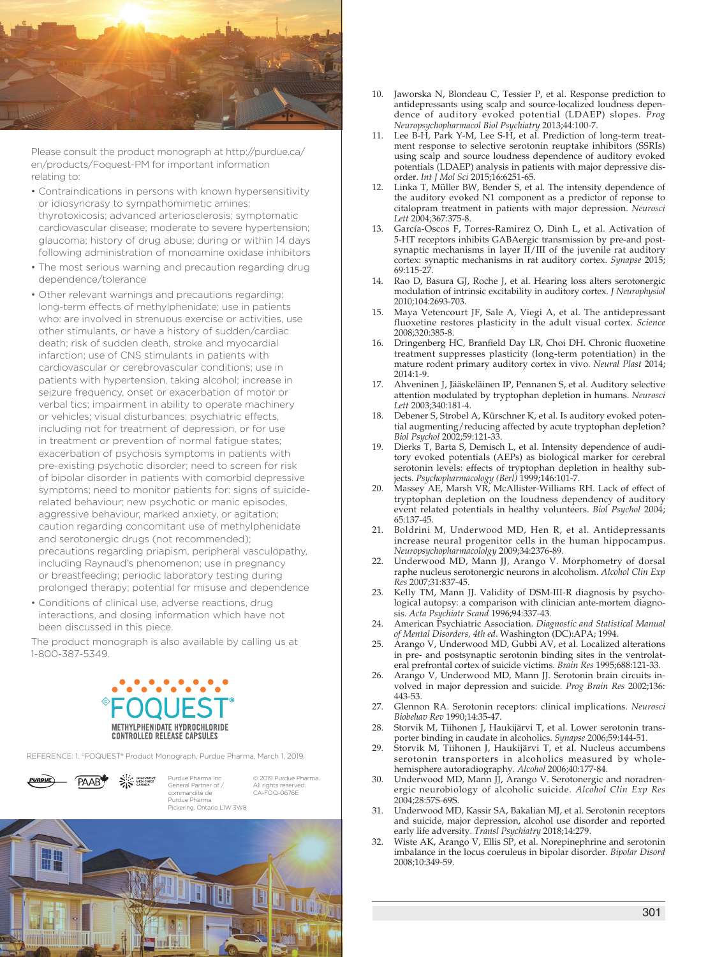

Please consult the product monograph at http://purdue.ca/ en/products/Foquest-PM for important information relating to:

- Contraindications in persons with known hypersensitivity or idiosyncrasy to sympathomimetic amines; thyrotoxicosis; advanced arteriosclerosis; symptomatic cardiovascular disease; moderate to severe hypertension; glaucoma; history of drug abuse; during or within 14 days following administration of monoamine oxidase inhibitors
- The most serious warning and precaution regarding drug dependence/tolerance
- Other relevant warnings and precautions regarding: long-term effects of methylphenidate; use in patients who: are involved in strenuous exercise or activities, use other stimulants, or have a history of sudden/cardiac death; risk of sudden death, stroke and myocardial infarction; use of CNS stimulants in patients with cardiovascular or cerebrovascular conditions; use in patients with hypertension, taking alcohol; increase in seizure frequency, onset or exacerbation of motor or verbal tics; impairment in ability to operate machinery or vehicles; visual disturbances; psychiatric effects, including not for treatment of depression, or for use in treatment or prevention of normal fatigue states; exacerbation of psychosis symptoms in patients with pre-existing psychotic disorder; need to screen for risk of bipolar disorder in patients with comorbid depressive symptoms; need to monitor patients for: signs of suiciderelated behaviour; new psychotic or manic episodes, aggressive behaviour, marked anxiety, or agitation; caution regarding concomitant use of methylphenidate and serotonergic drugs (not recommended); precautions regarding priapism, peripheral vasculopathy, including Raynaud's phenomenon; use in pregnancy or breastfeeding; periodic laboratory testing during prolonged therapy; potential for misuse and dependence
- Conditions of clinical use, adverse reactions, drug interactions, and dosing information which have not been discussed in this piece.

The product monograph is also available by calling us at 1-800-387-5349.



REFERENCE: 1. CFOQUEST® Product Monograph, Purdue Pharma, March 1, 2019.

RDUE PAAR<sup></sup> **SECONDO INFORMATIVE**  Purdue Pharma Inc General Partner of / commandité de Purdue Pharma Pickering, Ontario L1W 3W8 © 2019 Purdue Pharma. All rights reserved. CA-FOQ-0676E



- 10. Jaworska N, Blondeau C, Tessier P, et al. Response prediction to antidepressants using scalp and source-localized loudness dependence of auditory evoked potential (LDAEP) slopes. *Prog Neuropsychopharmacol Biol Psychiatry* 2013;44:100-7.
- 11. Lee B-H, Park Y-M, Lee S-H, et al. Prediction of long-term treatment response to selective serotonin reuptake inhibitors (SSRIs) using scalp and source loudness dependence of auditory evoked potentials (LDAEP) analysis in patients with major depressive disorder. *Int J Mol Sci* 2015;16:6251-65.
- 12. Linka T, Müller BW, Bender S, et al. The intensity dependence of the auditory evoked N1 component as a predictor of reponse to citalopram treatment in patients with major depression. *Neurosci Lett* 2004;367:375-8.
- 13. García-Oscos F, Torres-Ramirez O, Dinh L, et al. Activation of 5-HT receptors inhibits GABAergic transmission by pre-and postsynaptic mechanisms in layer  $\overline{II}/III$  of the juvenile rat auditory cortex: synaptic mechanisms in rat auditory cortex. *Synapse* 2015; 69:115-27.
- 14. Rao D, Basura GJ, Roche J, et al. Hearing loss alters serotonergic modulation of intrinsic excitability in auditory cortex. *J Neurophysiol* 2010;104:2693-703.
- 15. Maya Vetencourt JF, Sale A, Viegi A, et al. The antidepressant fluoxetine restores plasticity in the adult visual cortex. *Science* 2008;320:385-8.
- 16. Dringenberg HC, Branfield Day LR, Choi DH. Chronic fluoxetine treatment suppresses plasticity (long-term potentiation) in the mature rodent primary auditory cortex in vivo. *Neural Plast* 2014; 2014:1-9.
- 17. Ahveninen J, Jääskeläinen IP, Pennanen S, et al. Auditory selective attention modulated by tryptophan depletion in humans. *Neurosci Lett* 2003;340:181-4.
- 18. Debener S, Strobel A, Kürschner K, et al. Is auditory evoked potential augmenting/reducing affected by acute tryptophan depletion? *Biol Psychol* 2002;59:121-33.
- 19. Dierks T, Barta S, Demisch L, et al. Intensity dependence of auditory evoked potentials (AEPs) as biological marker for cerebral serotonin levels: effects of tryptophan depletion in healthy subjects. *Psychopharmacology (Berl)* 1999;146:101-7.
- Massey AE, Marsh VR, McAllister-Williams RH. Lack of effect of tryptophan depletion on the loudness dependency of auditory event related potentials in healthy volunteers. *Biol Psychol* 2004; 65:137-45.
- 21. Boldrini M, Underwood MD, Hen R, et al. Antidepressants increase neural progenitor cells in the human hippocampus. *Neuropsychopharmacololgy* 2009;34:2376-89.
- 22. Underwood MD, Mann JJ, Arango V. Morphometry of dorsal raphe nucleus serotonergic neurons in alcoholism. *Alcohol Clin Exp Res* 2007;31:837-45.
- 23. Kelly TM, Mann JJ. Validity of DSM-III-R diagnosis by psychological autopsy: a comparison with clinician ante-mortem diagnosis. *Acta Psychiatr Scand* 1996;94:337-43.
- 24. American Psychiatric Association. *Diagnostic and Statistical Manual of Mental Disorders, 4th ed*. Washington (DC):APA; 1994.
- 25. Arango V, Underwood MD, Gubbi AV, et al. Localized alterations in pre- and postsynaptic serotonin binding sites in the ventrolateral prefrontal cortex of suicide victims. *Brain Res* 1995;688:121-33.
- 26. Arango V, Underwood MD, Mann JJ. Serotonin brain circuits involved in major depression and suicide. *Prog Brain Res* 2002;136: 443-53.
- 27. Glennon RA. Serotonin receptors: clinical implications. *Neurosci Biobehav Rev* 1990;14:35-47.
- 28. Storvik M, Tiihonen J, Haukijärvi T, et al. Lower serotonin transporter binding in caudate in alcoholics. *Synapse* 2006;59:144-51.
- 29. Storvik M, Tiihonen J, Haukijärvi T, et al. Nucleus accumbens serotonin transporters in alcoholics measured by wholehemisphere autoradiography. *Alcohol* 2006;40:177-84.
- 30. Underwood MD, Mann JJ, Arango V. Serotonergic and noradrenergic neurobiology of alcoholic suicide. *Alcohol Clin Exp Res* 2004;28:57S-69S.
- 31. Underwood MD, Kassir SA, Bakalian MJ, et al. Serotonin receptors and suicide, major depression, alcohol use disorder and reported early life adversity. *Transl Psychiatry* 2018;14:279.
- 32. Wiste AK, Arango V, Ellis SP, et al. Norepinephrine and serotonin imbalance in the locus coeruleus in bipolar disorder. *Bipolar Disord* 2008;10:349-59.